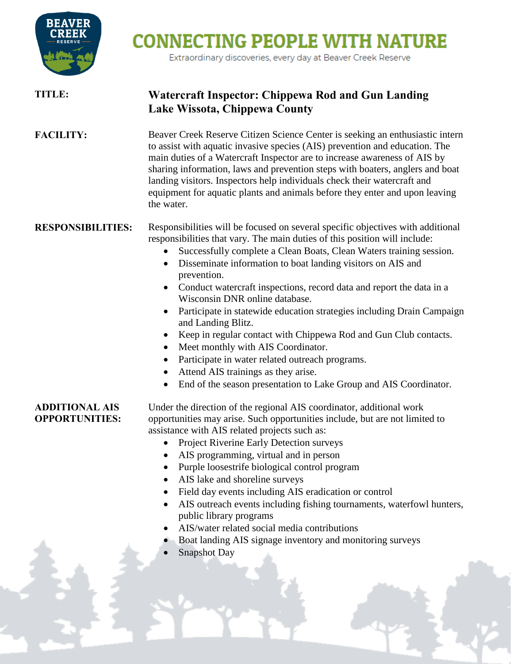

## **CONNECTING PEOPLE WITH NATURE**

Extraordinary discoveries, every day at Beaver Creek Reserve

## **TITLE: Watercraft Inspector: Chippewa Rod and Gun Landing Lake Wissota, Chippewa County FACILITY:** Beaver Creek Reserve Citizen Science Center is seeking an enthusiastic intern to assist with aquatic invasive species (AIS) prevention and education. The main duties of a Watercraft Inspector are to increase awareness of AIS by sharing information, laws and prevention steps with boaters, anglers and boat landing visitors. Inspectors help individuals check their watercraft and equipment for aquatic plants and animals before they enter and upon leaving the water. **RESPONSIBILITIES:** Responsibilities will be focused on several specific objectives with additional responsibilities that vary. The main duties of this position will include: Successfully complete a Clean Boats, Clean Waters training session. Disseminate information to boat landing visitors on AIS and prevention. • Conduct watercraft inspections, record data and report the data in a Wisconsin DNR online database. Participate in statewide education strategies including Drain Campaign and Landing Blitz. Keep in regular contact with Chippewa Rod and Gun Club contacts. Meet monthly with AIS Coordinator. • Participate in water related outreach programs. • Attend AIS trainings as they arise. • End of the season presentation to Lake Group and AIS Coordinator. **ADDITIONAL AIS OPPORTUNITIES:** Under the direction of the regional AIS coordinator, additional work opportunities may arise. Such opportunities include, but are not limited to assistance with AIS related projects such as: • Project Riverine Early Detection surveys • AIS programming, virtual and in person Purple loosestrife biological control program AIS lake and shoreline surveys Field day events including AIS eradication or control AIS outreach events including fishing tournaments, waterfowl hunters, public library programs AIS/water related social media contributions Boat landing AIS signage inventory and monitoring surveys Snapshot Day